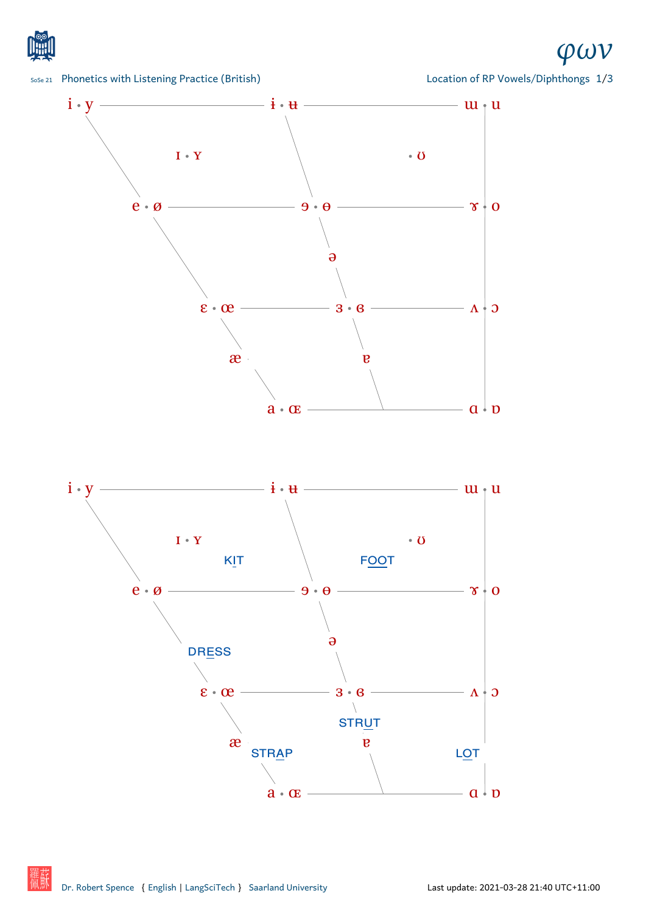





Location of RP Vowels/Diphthongs 1/3

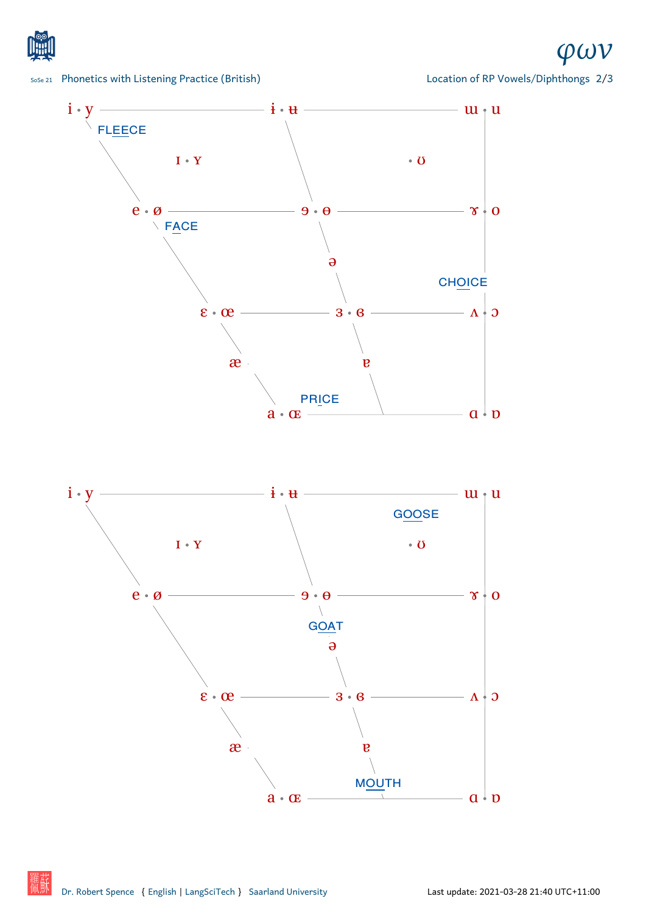

## SoSe 21 Phonetics with Listening Practice (British)

*φων*